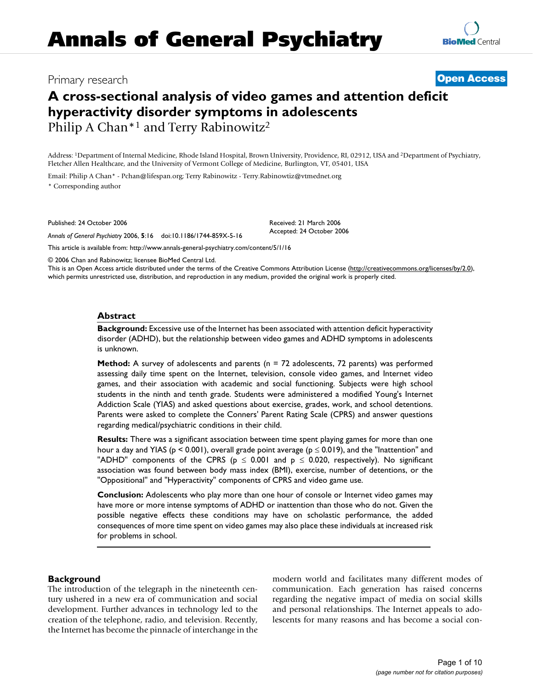# Primary research **[Open Access](http://www.biomedcentral.com/info/about/charter/)**

# **A cross-sectional analysis of video games and attention deficit hyperactivity disorder symptoms in adolescents** Philip A Chan\*1 and Terry Rabinowitz2

Address: 1Department of Internal Medicine, Rhode Island Hospital, Brown University, Providence, RI, 02912, USA and 2Department of Psychiatry, Fletcher Allen Healthcare, and the University of Vermont College of Medicine, Burlington, VT, 05401, USA

Email: Philip A Chan\* - Pchan@lifespan.org; Terry Rabinowitz - Terry.Rabinowtiz@vtmednet.org \* Corresponding author

Published: 24 October 2006

*Annals of General Psychiatry* 2006, **5**:16 doi:10.1186/1744-859X-5-16

Received: 21 March 2006 Accepted: 24 October 2006

[This article is available from: http://www.annals-general-psychiatry.com/content/5/1/16](http://www.annals-general-psychiatry.com/content/5/1/16)

© 2006 Chan and Rabinowitz; licensee BioMed Central Ltd.

This is an Open Access article distributed under the terms of the Creative Commons Attribution License [\(http://creativecommons.org/licenses/by/2.0\)](http://creativecommons.org/licenses/by/2.0), which permits unrestricted use, distribution, and reproduction in any medium, provided the original work is properly cited.

#### **Abstract**

**Background:** Excessive use of the Internet has been associated with attention deficit hyperactivity disorder (ADHD), but the relationship between video games and ADHD symptoms in adolescents is unknown.

**Method:** A survey of adolescents and parents (n = 72 adolescents, 72 parents) was performed assessing daily time spent on the Internet, television, console video games, and Internet video games, and their association with academic and social functioning. Subjects were high school students in the ninth and tenth grade. Students were administered a modified Young's Internet Addiction Scale (YIAS) and asked questions about exercise, grades, work, and school detentions. Parents were asked to complete the Conners' Parent Rating Scale (CPRS) and answer questions regarding medical/psychiatric conditions in their child.

**Results:** There was a significant association between time spent playing games for more than one hour a day and YIAS ( $p < 0.001$ ), overall grade point average ( $p \le 0.019$ ), and the "Inattention" and "ADHD" components of the CPRS ( $p \le 0.001$  and  $p \le 0.020$ , respectively). No significant association was found between body mass index (BMI), exercise, number of detentions, or the "Oppositional" and "Hyperactivity" components of CPRS and video game use.

**Conclusion:** Adolescents who play more than one hour of console or Internet video games may have more or more intense symptoms of ADHD or inattention than those who do not. Given the possible negative effects these conditions may have on scholastic performance, the added consequences of more time spent on video games may also place these individuals at increased risk for problems in school.

# **Background**

The introduction of the telegraph in the nineteenth century ushered in a new era of communication and social development. Further advances in technology led to the creation of the telephone, radio, and television. Recently, the Internet has become the pinnacle of interchange in the modern world and facilitates many different modes of communication. Each generation has raised concerns regarding the negative impact of media on social skills and personal relationships. The Internet appeals to adolescents for many reasons and has become a social con-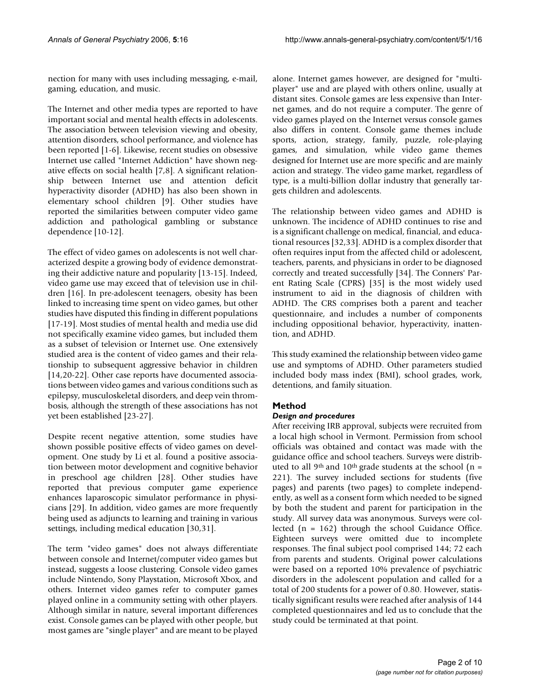nection for many with uses including messaging, e-mail, gaming, education, and music.

The Internet and other media types are reported to have important social and mental health effects in adolescents. The association between television viewing and obesity, attention disorders, school performance, and violence has been reported [1-6]. Likewise, recent studies on obsessive Internet use called "Internet Addiction" have shown negative effects on social health [7,8]. A significant relationship between Internet use and attention deficit hyperactivity disorder (ADHD) has also been shown in elementary school children [9]. Other studies have reported the similarities between computer video game addiction and pathological gambling or substance dependence [10-12].

The effect of video games on adolescents is not well characterized despite a growing body of evidence demonstrating their addictive nature and popularity [13-15]. Indeed, video game use may exceed that of television use in children [16]. In pre-adolescent teenagers, obesity has been linked to increasing time spent on video games, but other studies have disputed this finding in different populations [17-19]. Most studies of mental health and media use did not specifically examine video games, but included them as a subset of television or Internet use. One extensively studied area is the content of video games and their relationship to subsequent aggressive behavior in children [14,20-22]. Other case reports have documented associations between video games and various conditions such as epilepsy, musculoskeletal disorders, and deep vein thrombosis, although the strength of these associations has not yet been established [23-27].

Despite recent negative attention, some studies have shown possible positive effects of video games on development. One study by Li et al. found a positive association between motor development and cognitive behavior in preschool age children [28]. Other studies have reported that previous computer game experience enhances laparoscopic simulator performance in physicians [29]. In addition, video games are more frequently being used as adjuncts to learning and training in various settings, including medical education [30,31].

The term "video games" does not always differentiate between console and Internet/computer video games but instead, suggests a loose clustering. Console video games include Nintendo, Sony Playstation, Microsoft Xbox, and others. Internet video games refer to computer games played online in a community setting with other players. Although similar in nature, several important differences exist. Console games can be played with other people, but most games are "single player" and are meant to be played alone. Internet games however, are designed for "multiplayer" use and are played with others online, usually at distant sites. Console games are less expensive than Internet games, and do not require a computer. The genre of video games played on the Internet versus console games also differs in content. Console game themes include sports, action, strategy, family, puzzle, role-playing games, and simulation, while video game themes designed for Internet use are more specific and are mainly action and strategy. The video game market, regardless of type, is a multi-billion dollar industry that generally targets children and adolescents.

The relationship between video games and ADHD is unknown. The incidence of ADHD continues to rise and is a significant challenge on medical, financial, and educational resources [32,33]. ADHD is a complex disorder that often requires input from the affected child or adolescent, teachers, parents, and physicians in order to be diagnosed correctly and treated successfully [34]. The Conners' Parent Rating Scale (CPRS) [35] is the most widely used instrument to aid in the diagnosis of children with ADHD. The CRS comprises both a parent and teacher questionnaire, and includes a number of components including oppositional behavior, hyperactivity, inattention, and ADHD.

This study examined the relationship between video game use and symptoms of ADHD. Other parameters studied included body mass index (BMI), school grades, work, detentions, and family situation.

# **Method**

# *Design and procedures*

After receiving IRB approval, subjects were recruited from a local high school in Vermont. Permission from school officials was obtained and contact was made with the guidance office and school teachers. Surveys were distributed to all  $9<sup>th</sup>$  and  $10<sup>th</sup>$  grade students at the school (n = 221). The survey included sections for students (five pages) and parents (two pages) to complete independently, as well as a consent form which needed to be signed by both the student and parent for participation in the study. All survey data was anonymous. Surveys were collected (n = 162) through the school Guidance Office. Eighteen surveys were omitted due to incomplete responses. The final subject pool comprised 144; 72 each from parents and students. Original power calculations were based on a reported 10% prevalence of psychiatric disorders in the adolescent population and called for a total of 200 students for a power of 0.80. However, statistically significant results were reached after analysis of 144 completed questionnaires and led us to conclude that the study could be terminated at that point.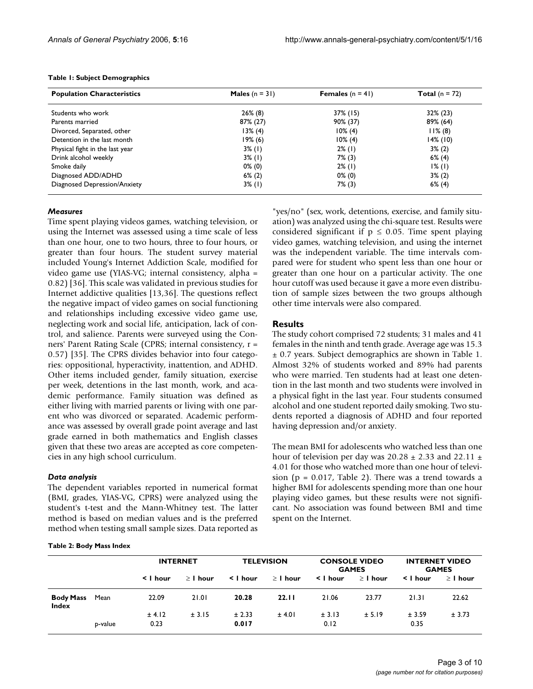| <b>Population Characteristics</b> | <b>Males</b> $(n = 31)$ | <b>Females</b> $(n = 41)$ | <b>Total</b> ( $n = 72$ ) |
|-----------------------------------|-------------------------|---------------------------|---------------------------|
| Students who work                 | $26\%$ (8)              | 37% (15)                  | $32\%$ (23)               |
| Parents married                   | 87% (27)                | $90\% (37)$               | 89% (64)                  |
| Divorced, Separated, other        | $13\%$ (4)              | $10\%$ (4)                | $11\%$ (8)                |
| Detention in the last month       | 19% (6)                 | $10\%$ (4)                | $14\%$ (10)               |
| Physical fight in the last year   | $3\%$ (1)               | $2\%$ (1)                 | $3\%$ (2)                 |
| Drink alcohol weekly              | $3\%$ (1)               | $7\%$ (3)                 | $6\%$ (4)                 |
| Smoke daily                       | $0\%$ (0)               | $2\%$ (1)                 | $1\%$ (1)                 |
| Diagnosed ADD/ADHD                | $6\%$ (2)               | $0\%$ (0)                 | $3\%$ (2)                 |
| Diagnosed Depression/Anxiety      | $3\%$ (1)               | 7% (3)                    | $6\%$ (4)                 |

#### **Table 1: Subject Demographics**

#### *Measures*

Time spent playing videos games, watching television, or using the Internet was assessed using a time scale of less than one hour, one to two hours, three to four hours, or greater than four hours. The student survey material included Young's Internet Addiction Scale, modified for video game use (YIAS-VG; internal consistency, alpha = 0.82) [36]. This scale was validated in previous studies for Internet addictive qualities [13,36]. The questions reflect the negative impact of video games on social functioning and relationships including excessive video game use, neglecting work and social life, anticipation, lack of control, and salience. Parents were surveyed using the Conners' Parent Rating Scale (CPRS; internal consistency, r = 0.57) [35]. The CPRS divides behavior into four categories: oppositional, hyperactivity, inattention, and ADHD. Other items included gender, family situation, exercise per week, detentions in the last month, work, and academic performance. Family situation was defined as either living with married parents or living with one parent who was divorced or separated. Academic performance was assessed by overall grade point average and last grade earned in both mathematics and English classes given that these two areas are accepted as core competencies in any high school curriculum.

#### *Data analysis*

The dependent variables reported in numerical format (BMI, grades, YIAS-VG, CPRS) were analyzed using the student's t-test and the Mann-Whitney test. The latter method is based on median values and is the preferred method when testing small sample sizes. Data reported as

**Table 2: Body Mass Index**

"yes/no" (sex, work, detentions, exercise, and family situation) was analyzed using the chi-square test. Results were considered significant if  $p \le 0.05$ . Time spent playing video games, watching television, and using the internet was the independent variable. The time intervals compared were for student who spent less than one hour or greater than one hour on a particular activity. The one hour cutoff was used because it gave a more even distribution of sample sizes between the two groups although other time intervals were also compared.

## **Results**

The study cohort comprised 72 students; 31 males and 41 females in the ninth and tenth grade. Average age was 15.3 ± 0.7 years. Subject demographics are shown in Table 1. Almost 32% of students worked and 89% had parents who were married. Ten students had at least one detention in the last month and two students were involved in a physical fight in the last year. Four students consumed alcohol and one student reported daily smoking. Two students reported a diagnosis of ADHD and four reported having depression and/or anxiety.

The mean BMI for adolescents who watched less than one hour of television per day was  $20.28 \pm 2.33$  and  $22.11 \pm 1.5$ 4.01 for those who watched more than one hour of television ( $p = 0.017$ , Table 2). There was a trend towards a higher BMI for adolescents spending more than one hour playing video games, but these results were not significant. No association was found between BMI and time spent on the Internet.

|                                  |         | <b>INTERNET</b> |               | <b>TELEVISION</b> |               | <b>CONSOLE VIDEO</b><br><b>GAMES</b> |               | <b>INTERNET VIDEO</b><br><b>GAMES</b> |               |
|----------------------------------|---------|-----------------|---------------|-------------------|---------------|--------------------------------------|---------------|---------------------------------------|---------------|
|                                  |         | $\leq$ 1 hour   | $\geq$ 1 hour | $\leq$ 1 hour     | $\geq$ 1 hour | $\leq$ 1 hour                        | $\geq$ 1 hour | $\leq$ 1 hour                         | $\geq$ 1 hour |
| <b>Body Mass</b><br><b>Index</b> | Mean    | 22.09           | 21.01         | 20.28             | 22.11         | 21.06                                | 23.77         | 21.31                                 | 22.62         |
|                                  | p-value | ± 4.12<br>0.23  | ± 3.15        | ± 2.33<br>0.017   | ±4.01         | ± 3.13<br>0.12                       | ± 5.19        | ± 3.59<br>0.35                        | ± 3.73        |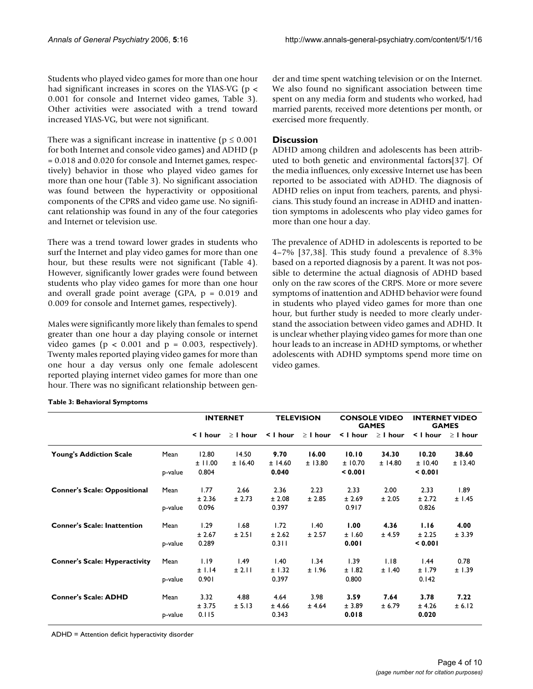Students who played video games for more than one hour had significant increases in scores on the YIAS-VG (p < 0.001 for console and Internet video games, Table 3). Other activities were associated with a trend toward increased YIAS-VG, but were not significant.

There was a significant increase in inattentive ( $p \le 0.001$ ) for both Internet and console video games) and ADHD (p = 0.018 and 0.020 for console and Internet games, respectively) behavior in those who played video games for more than one hour (Table 3). No significant association was found between the hyperactivity or oppositional components of the CPRS and video game use. No significant relationship was found in any of the four categories and Internet or television use.

There was a trend toward lower grades in students who surf the Internet and play video games for more than one hour, but these results were not significant (Table 4). However, significantly lower grades were found between students who play video games for more than one hour and overall grade point average (GPA,  $p = 0.019$  and 0.009 for console and Internet games, respectively).

Males were significantly more likely than females to spend greater than one hour a day playing console or internet video games ( $p < 0.001$  and  $p = 0.003$ , respectively). Twenty males reported playing video games for more than one hour a day versus only one female adolescent reported playing internet video games for more than one hour. There was no significant relationship between gender and time spent watching television or on the Internet. We also found no significant association between time spent on any media form and students who worked, had married parents, received more detentions per month, or exercised more frequently.

# **Discussion**

ADHD among children and adolescents has been attributed to both genetic and environmental factors[37]. Of the media influences, only excessive Internet use has been reported to be associated with ADHD. The diagnosis of ADHD relies on input from teachers, parents, and physicians. This study found an increase in ADHD and inattention symptoms in adolescents who play video games for more than one hour a day.

The prevalence of ADHD in adolescents is reported to be 4–7% [37,38]. This study found a prevalence of 8.3% based on a reported diagnosis by a parent. It was not possible to determine the actual diagnosis of ADHD based only on the raw scores of the CRPS. More or more severe symptoms of inattention and ADHD behavior were found in students who played video games for more than one hour, but further study is needed to more clearly understand the association between video games and ADHD. It is unclear whether playing video games for more than one hour leads to an increase in ADHD symptoms, or whether adolescents with ADHD symptoms spend more time on video games.

|  |  |  | Table 3: Behavioral Symptoms |
|--|--|--|------------------------------|
|--|--|--|------------------------------|

| <b>INTERNET</b> |                                                     | <b>TELEVISION</b> |               | <b>CONSOLE VIDEO</b><br><b>GAMES</b> |               | <b>INTERNET VIDEO</b><br><b>GAMES</b> |               |
|-----------------|-----------------------------------------------------|-------------------|---------------|--------------------------------------|---------------|---------------------------------------|---------------|
| $\leq$ 1 hour   | $\geq$ 1 hour                                       | < I hour          | $\geq$ 1 hour | < I hour                             | $\geq$ 1 hour | $\leq$ 1 hour                         | $\geq$ 1 hour |
| 12.80           | 14.50                                               | 9.70              | 16.00         | 10.10                                | 34.30         | 10.20                                 | 38.60         |
| ±11.00          | ± 16.40                                             | ± 14.60           | ± 13.80       | ± 10.70                              | ± 14.80       | ±10.40                                | ± 13.40       |
| 0.804           |                                                     | 0.040             |               | 0.001                                |               | 0.001                                 |               |
| 1.77            | 2.66                                                | 2.36              | 2.23          | 2.33                                 | 2.00          | 2.33                                  | 1.89          |
| ± 2.36          | ± 2.73                                              | ± 2.08            | ± 2.85        | ± 2.69                               | ± 2.05        | ± 2.72                                | ±1.45         |
| 0.096           |                                                     | 0.397             |               | 0.917                                |               | 0.826                                 |               |
| 1.29            | 1.68                                                | 1.72              | 1.40          | 1.00                                 | 4.36          | 1.16                                  | 4.00          |
| ± 2.67          | ±2.51                                               | ± 2.62            | ± 2.57        | ±1.60                                | ± 4.59        | ± 2.25                                | ± 3.39        |
| 0.289           |                                                     | 0.311             |               | 0.001                                |               | 0.001                                 |               |
| 1.19            | 1.49                                                | 1.40              | 1.34          | 1.39                                 | 1.18          | 1.44                                  | 0.78          |
| $±$ $1.14$      | ± 2.11                                              | ±1.32             | ±1.96         | ±1.82                                | ± 1.40        | ±1.79                                 | ±1.39         |
| 0.901           |                                                     | 0.397             |               | 0.800                                |               | 0.142                                 |               |
| 3.32            | 4.88                                                | 4.64              | 3.98          | 3.59                                 | 7.64          | 3.78                                  | 7.22          |
| ± 3.75          | ± 5.13                                              | ± 4.66            | ± 4.64        | ± 3.89                               | ± 6.79        | ± 4.26                                | ± 6.12        |
| 0.115           |                                                     | 0.343             |               | 0.018                                |               | 0.020                                 |               |
|                 | p-value<br>p-value<br>p-value<br>p-value<br>p-value |                   |               |                                      |               |                                       |               |

ADHD = Attention deficit hyperactivity disorder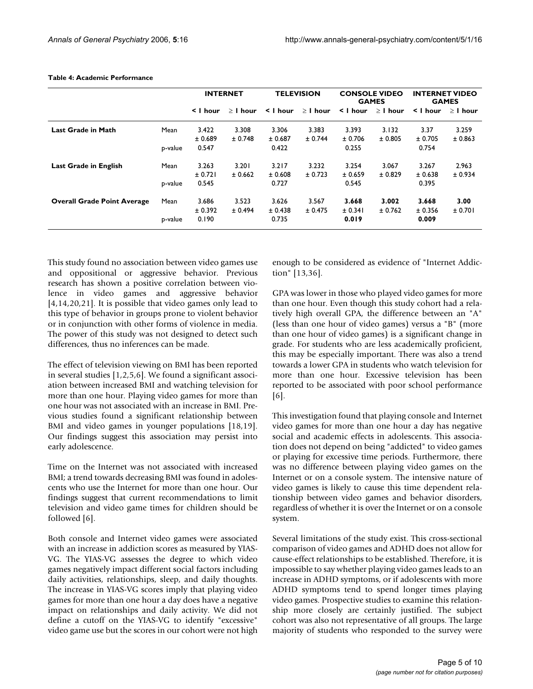|                                    |         | <b>INTERNET</b>  |                  | <b>TELEVISION</b> |                  | <b>CONSOLE VIDEO</b><br><b>GAMES</b> |                  | <b>INTERNET VIDEO</b><br><b>GAMES</b> |                  |
|------------------------------------|---------|------------------|------------------|-------------------|------------------|--------------------------------------|------------------|---------------------------------------|------------------|
|                                    |         | $\leq$ 1 hour    | $\geq$ 1 hour    | $\leq$ 1 hour     | $\geq$ 1 hour    | $\leq$ 1 hour                        | $\geq$ 1 hour    | $\leq$ 1 hour                         | $\geq$ 1 hour    |
| <b>Last Grade in Math</b>          | Mean    | 3.422<br>± 0.689 | 3.308<br>± 0.748 | 3.306<br>± 0.687  | 3.383<br>± 0.744 | 3.393<br>± 0.706                     | 3.132<br>± 0.805 | 3.37<br>± 0.705                       | 3.259<br>± 0.863 |
|                                    | p-value | 0.547            |                  | 0.422             |                  | 0.255                                |                  | 0.754                                 |                  |
| <b>Last Grade in English</b>       | Mean    | 3.263<br>± 0.721 | 3.201<br>± 0.662 | 3.217<br>± 0.608  | 3.232<br>± 0.723 | 3.254<br>± 0.659                     | 3.067<br>± 0.829 | 3.267<br>± 0.638                      | 2.963<br>± 0.934 |
|                                    | p-value | 0.545            |                  | 0.727             |                  | 0.545                                |                  | 0.395                                 |                  |
| <b>Overall Grade Point Average</b> | Mean    | 3.686            | 3.523            | 3.626             | 3.567            | 3.668                                | 3.002            | 3.668                                 | 3.00             |
|                                    | p-value | ± 0.392<br>0.190 | ± 0.494          | ± 0.438<br>0.735  | ± 0.475          | ± 0.341<br>0.019                     | ± 0.762          | ± 0.356<br>0.009                      | ± 0.701          |

#### **Table 4: Academic Performance**

This study found no association between video games use and oppositional or aggressive behavior. Previous research has shown a positive correlation between violence in video games and aggressive behavior [4,14,20,21]. It is possible that video games only lead to this type of behavior in groups prone to violent behavior or in conjunction with other forms of violence in media. The power of this study was not designed to detect such differences, thus no inferences can be made.

The effect of television viewing on BMI has been reported in several studies [1,2,5,6]. We found a significant association between increased BMI and watching television for more than one hour. Playing video games for more than one hour was not associated with an increase in BMI. Previous studies found a significant relationship between BMI and video games in younger populations [18,19]. Our findings suggest this association may persist into early adolescence.

Time on the Internet was not associated with increased BMI; a trend towards decreasing BMI was found in adolescents who use the Internet for more than one hour. Our findings suggest that current recommendations to limit television and video game times for children should be followed [6].

Both console and Internet video games were associated with an increase in addiction scores as measured by YIAS-VG. The YIAS-VG assesses the degree to which video games negatively impact different social factors including daily activities, relationships, sleep, and daily thoughts. The increase in YIAS-VG scores imply that playing video games for more than one hour a day does have a negative impact on relationships and daily activity. We did not define a cutoff on the YIAS-VG to identify "excessive" video game use but the scores in our cohort were not high

enough to be considered as evidence of "Internet Addiction" [13,36].

GPA was lower in those who played video games for more than one hour. Even though this study cohort had a relatively high overall GPA, the difference between an "A" (less than one hour of video games) versus a "B" (more than one hour of video games) is a significant change in grade. For students who are less academically proficient, this may be especially important. There was also a trend towards a lower GPA in students who watch television for more than one hour. Excessive television has been reported to be associated with poor school performance [6].

This investigation found that playing console and Internet video games for more than one hour a day has negative social and academic effects in adolescents. This association does not depend on being "addicted" to video games or playing for excessive time periods. Furthermore, there was no difference between playing video games on the Internet or on a console system. The intensive nature of video games is likely to cause this time dependent relationship between video games and behavior disorders, regardless of whether it is over the Internet or on a console system.

Several limitations of the study exist. This cross-sectional comparison of video games and ADHD does not allow for cause-effect relationships to be established. Therefore, it is impossible to say whether playing video games leads to an increase in ADHD symptoms, or if adolescents with more ADHD symptoms tend to spend longer times playing video games. Prospective studies to examine this relationship more closely are certainly justified. The subject cohort was also not representative of all groups. The large majority of students who responded to the survey were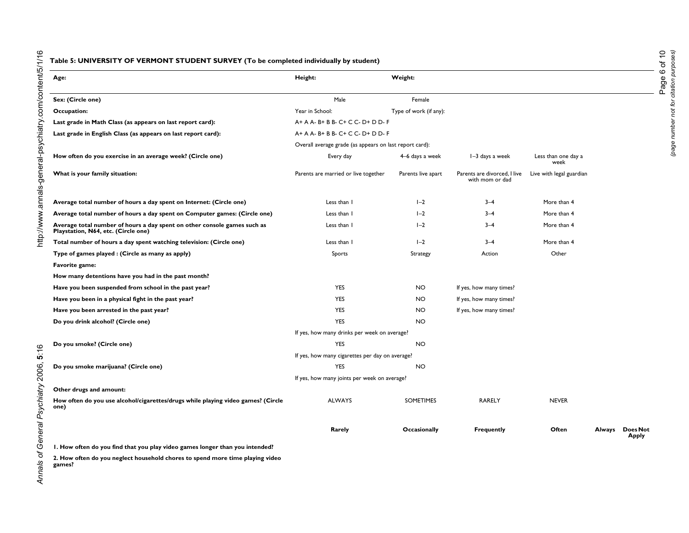| Age:                                                                                                            | Height:                                                 | Weight:                |                                                 |                             |                          |
|-----------------------------------------------------------------------------------------------------------------|---------------------------------------------------------|------------------------|-------------------------------------------------|-----------------------------|--------------------------|
| Sex: (Circle one)                                                                                               | Male                                                    | Female                 |                                                 |                             |                          |
| Occupation:                                                                                                     | Year in School:                                         | Type of work (if any): |                                                 |                             |                          |
| Last grade in Math Class (as appears on last report card):                                                      | A+ A A- B+ B B- C+ C C- D+ D D- F                       |                        |                                                 |                             |                          |
| Last grade in English Class (as appears on last report card):                                                   | A+ A A- B+ B B- C+ C C- D+ D D- F                       |                        |                                                 |                             |                          |
|                                                                                                                 | Overall average grade (as appears on last report card): |                        |                                                 |                             |                          |
| How often do you exercise in an average week? (Circle one)                                                      | Every day                                               | 4–6 days a week        | I-3 days a week                                 | Less than one day a<br>week |                          |
| What is your family situation:                                                                                  | Parents are married or live together                    | Parents live apart     | Parents are divorced, I live<br>with mom or dad | Live with legal guardian    |                          |
| Average total number of hours a day spent on Internet: (Circle one)                                             | Less than I                                             | $I-2$                  | $3 - 4$                                         | More than 4                 |                          |
| Average total number of hours a day spent on Computer games: (Circle one)                                       | Less than I                                             | $I-2$                  | $3 - 4$                                         | More than 4                 |                          |
| Average total number of hours a day spent on other console games such as<br>Playstation, N64, etc. (Circle one) | Less than I                                             | $I-2$                  | $3 - 4$                                         | More than 4                 |                          |
| Total number of hours a day spent watching television: (Circle one)                                             | Less than I                                             | $I - 2$                | $3 - 4$                                         | More than 4                 |                          |
| Type of games played : (Circle as many as apply)                                                                | Sports                                                  | Strategy               | Action                                          | Other                       |                          |
| Favorite game:                                                                                                  |                                                         |                        |                                                 |                             |                          |
| How many detentions have you had in the past month?                                                             |                                                         |                        |                                                 |                             |                          |
| Have you been suspended from school in the past year?                                                           | <b>YES</b>                                              | <b>NO</b>              | If yes, how many times?                         |                             |                          |
| Have you been in a physical fight in the past year?                                                             | <b>YES</b>                                              | <b>NO</b>              | If yes, how many times?                         |                             |                          |
| Have you been arrested in the past year?                                                                        | <b>YES</b>                                              | <b>NO</b>              | If yes, how many times?                         |                             |                          |
| Do you drink alcohol? (Circle one)                                                                              | <b>YES</b>                                              | <b>NO</b>              |                                                 |                             |                          |
|                                                                                                                 | If yes, how many drinks per week on average?            |                        |                                                 |                             |                          |
| Do you smoke? (Circle one)                                                                                      | <b>YES</b>                                              | <b>NO</b>              |                                                 |                             |                          |
|                                                                                                                 | If yes, how many cigarettes per day on average?         |                        |                                                 |                             |                          |
| Do you smoke marijuana? (Circle one)                                                                            | <b>YES</b>                                              | <b>NO</b>              |                                                 |                             |                          |
|                                                                                                                 | If yes, how many joints per week on average?            |                        |                                                 |                             |                          |
| Other drugs and amount:                                                                                         |                                                         |                        |                                                 |                             |                          |
| How often do you use alcohol/cigarettes/drugs while playing video games? (Circle<br>one)                        | <b>ALWAYS</b>                                           | <b>SOMETIMES</b>       | <b>RARELY</b>                                   | <b>NEVER</b>                |                          |
|                                                                                                                 | Rarely                                                  | <b>Occasionally</b>    | <b>Frequently</b>                               | Often                       | Always Does Not<br>Apply |
| I. How often do you find that you play video games longer than you intended?                                    |                                                         |                        |                                                 |                             |                          |

#### **Table 5: UNIVERSITY OF VERMONT STUDENT SURVEY (To be completed individually by student)**

**2. How often do you neglect household chores to spend more time playing video games?**

Annals of General Psychiatry 2006, 5:16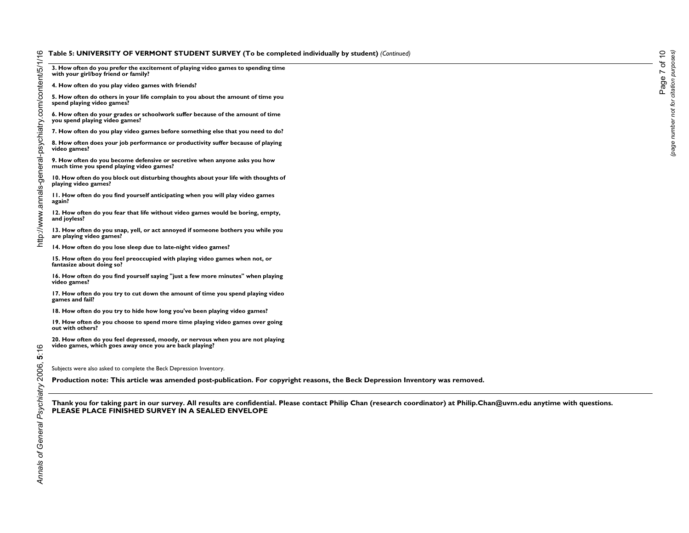#### **Table 5: UNIVERSITY OF VERMONT STUDENT SURVEY (To be completed individually by student)** *(Continued)*

| ဖ<br>Ξ                                               | Table 5: UNIVERSITY OF VERMONT STUDENT SURVEY (To be completed individually by student) (Continued)                                        |
|------------------------------------------------------|--------------------------------------------------------------------------------------------------------------------------------------------|
|                                                      | 3. How often do you prefer the excitement of playing video games to spending time<br>with your girl/boy friend or family?                  |
|                                                      | 4. How often do you play video games with friends?                                                                                         |
|                                                      | 5. How often do others in your life complain to you about the amount of time you<br>spend playing video games?                             |
|                                                      | 6. How often do your grades or schoolwork suffer because of the amount of time<br>you spend playing video games?                           |
|                                                      | 7. How often do you play video games before something else that you need to do?                                                            |
|                                                      | 8. How often does your job performance or productivity suffer because of playing<br>video games?                                           |
| http://www.annals-general-psychiatry.com/content/5/1 | 9. How often do you become defensive or secretive when anyone asks you how<br>much time you spend playing video games?                     |
|                                                      | 10. How often do you block out disturbing thoughts about your life with thoughts of<br>playing video games?                                |
|                                                      | 11. How often do you find yourself anticipating when you will play video games<br>again?                                                   |
|                                                      | 12. How often do you fear that life without video games would be boring, empty,<br>and joyless?                                            |
|                                                      | 13. How often do you snap, yell, or act annoyed if someone bothers you while you<br>are playing video games?                               |
|                                                      | 14. How often do you lose sleep due to late-night video games?                                                                             |
|                                                      | 15. How often do you feel preoccupied with playing video games when not, or<br>fantasize about doing so?                                   |
|                                                      | 16. How often do you find yourself saying "just a few more minutes" when playing<br>video games?                                           |
|                                                      | 17. How often do you try to cut down the amount of time you spend playing video<br>games and fail?                                         |
|                                                      | 18. How often do you try to hide how long you've been playing video games?                                                                 |
|                                                      | 19. How often do you choose to spend more time playing video games over going<br>out with others?                                          |
| $\circ$                                              | 20. How often do you feel depressed, moody, or nervous when you are not playing<br>video games, which goes away once you are back playing? |

**Thank you for taking part in our survey. All results are confidential. Please contact Philip Chan (research coordinator) at Philip.Chan@uvm.edu anytime with questions.**

**Production note: This article was amended post-publication. For copyright reasons, the Beck Depression Inventory was removed.**

*Annals of General Psychiatry* 2006, 5:16 http://www.annals-general-psychiatry.com/content/5/1/16 Annals of General Psychiatry 2006, 5:16

Subjects were also asked to complete the Beck Depression Inventory.

**PLEASE PLACE FINISHED SURVEY IN A SEALED ENVELOPE**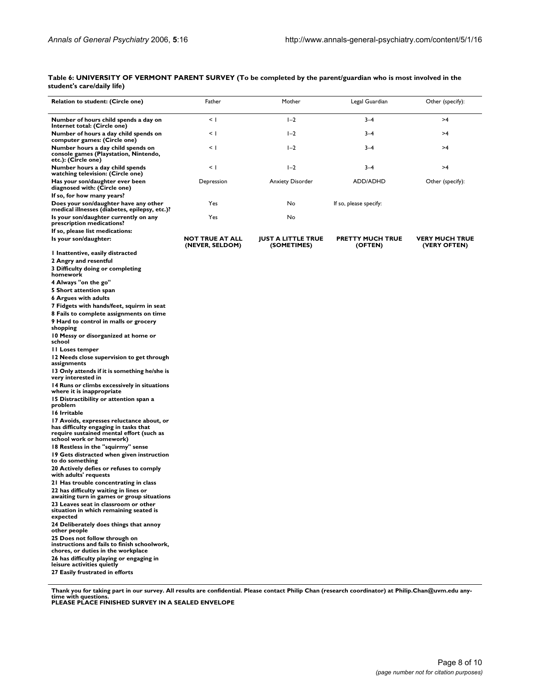#### **Table 6: UNIVERSITY OF VERMONT PARENT SURVEY (To be completed by the parent/guardian who is most involved in the student's care/daily life)**

| Relation to student: (Circle one)                                                                                                                          | Father                                    | Mother                                   | Legal Guardian                     | Other (specify):                      |
|------------------------------------------------------------------------------------------------------------------------------------------------------------|-------------------------------------------|------------------------------------------|------------------------------------|---------------------------------------|
| Number of hours child spends a day on<br>Internet total: (Circle one)                                                                                      | $\leq$                                    | $I-2$                                    | $3 - 4$                            | >4                                    |
| Number of hours a day child spends on<br>computer games: (Circle one)                                                                                      | $\leq$                                    | $I-2$                                    | $3 - 4$                            | >4                                    |
| Number hours a day child spends on<br>console games (Playstation, Nintendo,<br>etc.): (Circle one)                                                         | $\leq$                                    | $I-2$                                    | $3 - 4$                            | >4                                    |
| Number hours a day child spends<br>watching television: (Circle one)                                                                                       | $\leq$                                    | $I-2$                                    | $3 - 4$                            | >4                                    |
| Has your son/daughter ever been<br>diagnosed with: (Circle one)                                                                                            | Depression                                | <b>Anxiety Disorder</b>                  | <b>ADD/ADHD</b>                    | Other (specify):                      |
| If so, for how many years?                                                                                                                                 |                                           |                                          |                                    |                                       |
| Does your son/daughter have any other<br>medical illnesses (diabetes, epilepsy, etc.)?                                                                     | Yes                                       | No                                       | If so, please specify:             |                                       |
| Is your son/daughter currently on any<br>prescription medications?                                                                                         | Yes                                       | No                                       |                                    |                                       |
| If so, please list medications:                                                                                                                            |                                           |                                          |                                    |                                       |
| Is your son/daughter:                                                                                                                                      | <b>NOT TRUE AT ALL</b><br>(NEVER, SELDOM) | <b>JUST A LITTLE TRUE</b><br>(SOMETIMES) | <b>PRETTY MUCH TRUE</b><br>(OFTEN) | <b>VERY MUCH TRUE</b><br>(VERY OFTEN) |
| I Inattentive, easily distracted                                                                                                                           |                                           |                                          |                                    |                                       |
| 2 Angry and resentful<br>3 Difficulty doing or completing                                                                                                  |                                           |                                          |                                    |                                       |
| homework<br>4 Always "on the go"                                                                                                                           |                                           |                                          |                                    |                                       |
| 5 Short attention span                                                                                                                                     |                                           |                                          |                                    |                                       |
| <b>6 Argues with adults</b>                                                                                                                                |                                           |                                          |                                    |                                       |
| 7 Fidgets with hands/feet, squirm in seat                                                                                                                  |                                           |                                          |                                    |                                       |
| 8 Fails to complete assignments on time                                                                                                                    |                                           |                                          |                                    |                                       |
| 9 Hard to control in malls or grocery<br>shopping<br>10 Messy or disorganized at home or                                                                   |                                           |                                          |                                    |                                       |
| school<br>II Loses temper                                                                                                                                  |                                           |                                          |                                    |                                       |
| 12 Needs close supervision to get through<br>assignments                                                                                                   |                                           |                                          |                                    |                                       |
| 13 Only attends if it is something he/she is<br>very interested in                                                                                         |                                           |                                          |                                    |                                       |
| 14 Runs or climbs excessively in situations<br>where it is inappropriate                                                                                   |                                           |                                          |                                    |                                       |
| 15 Distractibility or attention span a<br>problem                                                                                                          |                                           |                                          |                                    |                                       |
| 16 Irritable                                                                                                                                               |                                           |                                          |                                    |                                       |
| 17 Avoids, expresses reluctance about, or<br>has difficulty engaging in tasks that<br>require sustained mental effort (such as<br>school work or homework) |                                           |                                          |                                    |                                       |
| 18 Restless in the "squirmy" sense                                                                                                                         |                                           |                                          |                                    |                                       |
| 19 Gets distracted when given instruction<br>to do something                                                                                               |                                           |                                          |                                    |                                       |
| 20 Actively defies or refuses to comply<br>with adults' requests                                                                                           |                                           |                                          |                                    |                                       |
| 21 Has trouble concentrating in class                                                                                                                      |                                           |                                          |                                    |                                       |
| 22 has difficulty waiting in lines or<br>awaiting turn in games or group situations                                                                        |                                           |                                          |                                    |                                       |
| 23 Leaves seat in classroom or other<br>situation in which remaining seated is<br>expected                                                                 |                                           |                                          |                                    |                                       |
| 24 Deliberately does things that annoy<br>other people                                                                                                     |                                           |                                          |                                    |                                       |
| 25 Does not follow through on<br>instructions and fails to finish schoolwork,<br>chores, or duties in the workplace                                        |                                           |                                          |                                    |                                       |
| 26 has difficulty playing or engaging in<br>leisure activities quietly                                                                                     |                                           |                                          |                                    |                                       |
| 27 Easily frustrated in efforts                                                                                                                            |                                           |                                          |                                    |                                       |

**Thank you for taking part in our survey. All results are confidential. Please contact Philip Chan (research coordinator) at Philip.Chan@uvm.edu anytime with questions. PLEASE PLACE FINISHED SURVEY IN A SEALED ENVELOPE**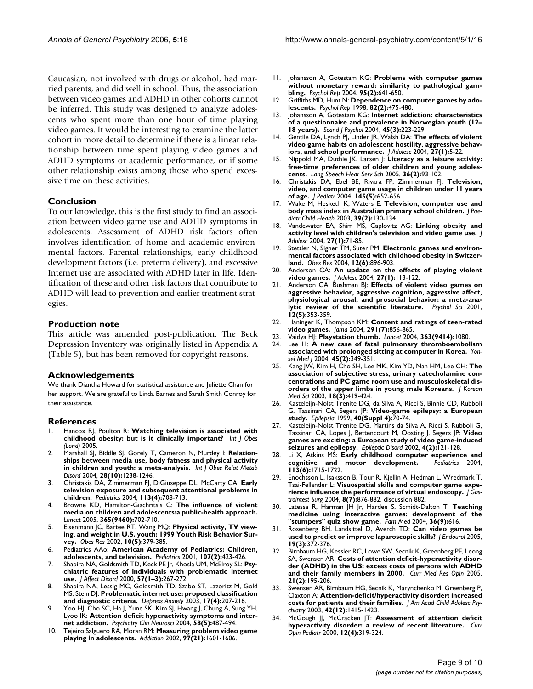Caucasian, not involved with drugs or alcohol, had married parents, and did well in school. Thus, the association between video games and ADHD in other cohorts cannot be inferred. This study was designed to analyze adolescents who spent more than one hour of time playing video games. It would be interesting to examine the latter cohort in more detail to determine if there is a linear relationship between time spent playing video games and ADHD symptoms or academic performance, or if some other relationship exists among those who spend excessive time on these activities.

## **Conclusion**

To our knowledge, this is the first study to find an association between video game use and ADHD symptoms in adolescents. Assessment of ADHD risk factors often involves identification of home and academic environmental factors. Parental relationships, early childhood development factors (i.e. preterm delivery), and excessive Internet use are associated with ADHD later in life. Identification of these and other risk factors that contribute to ADHD will lead to prevention and earlier treatment strategies.

#### **Production note**

This article was amended post-publication. The Beck Depression Inventory was originally listed in Appendix A (Table 5), but has been removed for copyright reasons.

#### **Acknowledgements**

We thank Diantha Howard for statistical assistance and Juliette Chan for her support. We are grateful to Linda Barnes and Sarah Smith Conroy for their assistance.

#### **References**

- 1. Hancox RJ, Poulton R: **Watching television is associated with childhood obesity: but is it clinically important?** *Int J Obes (Lond)* 2005.
- 2. Marshall SJ, Biddle SJ, Gorely T, Cameron N, Murdey I: **[Relation](http://www.ncbi.nlm.nih.gov/entrez/query.fcgi?cmd=Retrieve&db=PubMed&dopt=Abstract&list_uids=15314635)[ships between media use, body fatness and physical activity](http://www.ncbi.nlm.nih.gov/entrez/query.fcgi?cmd=Retrieve&db=PubMed&dopt=Abstract&list_uids=15314635) [in children and youth: a meta-analysis.](http://www.ncbi.nlm.nih.gov/entrez/query.fcgi?cmd=Retrieve&db=PubMed&dopt=Abstract&list_uids=15314635)** *Int J Obes Relat Metab Disord* 2004, **28(10):**1238-1246.
- 3. Christakis DA, Zimmerman FJ, DiGiuseppe DL, McCarty CA: **[Early](http://www.ncbi.nlm.nih.gov/entrez/query.fcgi?cmd=Retrieve&db=PubMed&dopt=Abstract&list_uids=15060216) [television exposure and subsequent attentional problems in](http://www.ncbi.nlm.nih.gov/entrez/query.fcgi?cmd=Retrieve&db=PubMed&dopt=Abstract&list_uids=15060216) [children.](http://www.ncbi.nlm.nih.gov/entrez/query.fcgi?cmd=Retrieve&db=PubMed&dopt=Abstract&list_uids=15060216)** *Pediatrics* 2004, **113(4):**708-713.
- 4. Browne KD, Hamilton-Giachritsis C: **[The influence of violent](http://www.ncbi.nlm.nih.gov/entrez/query.fcgi?cmd=Retrieve&db=PubMed&dopt=Abstract&list_uids=15721477) [media on children and adolescents:a public-health approach.](http://www.ncbi.nlm.nih.gov/entrez/query.fcgi?cmd=Retrieve&db=PubMed&dopt=Abstract&list_uids=15721477)** *Lancet* 2005, **365(9460):**702-710.
- 5. Eisenmann JC, Bartee RT, Wang MQ: **[Physical activity, TV view](http://www.ncbi.nlm.nih.gov/entrez/query.fcgi?cmd=Retrieve&db=PubMed&dopt=Abstract&list_uids=12006637)[ing, and weight in U.S. youth: 1999 Youth Risk Behavior Sur](http://www.ncbi.nlm.nih.gov/entrez/query.fcgi?cmd=Retrieve&db=PubMed&dopt=Abstract&list_uids=12006637)[vey.](http://www.ncbi.nlm.nih.gov/entrez/query.fcgi?cmd=Retrieve&db=PubMed&dopt=Abstract&list_uids=12006637)** *Obes Res* 2002, **10(5):**379-385.
- 6. Pediatrics AAo: **[American Academy of Pediatrics: Children,](http://www.ncbi.nlm.nih.gov/entrez/query.fcgi?cmd=Retrieve&db=PubMed&dopt=Abstract&list_uids=11158483) [adolescents, and television.](http://www.ncbi.nlm.nih.gov/entrez/query.fcgi?cmd=Retrieve&db=PubMed&dopt=Abstract&list_uids=11158483)** *Pediatrics* 2001, **107(2):**423-426.
- 7. Shapira NA, Goldsmith TD, Keck PE Jr, Khosla UM, McElroy SL: **[Psy](http://www.ncbi.nlm.nih.gov/entrez/query.fcgi?cmd=Retrieve&db=PubMed&dopt=Abstract&list_uids=10708842)[chiatric features of individuals with problematic internet](http://www.ncbi.nlm.nih.gov/entrez/query.fcgi?cmd=Retrieve&db=PubMed&dopt=Abstract&list_uids=10708842) [use.](http://www.ncbi.nlm.nih.gov/entrez/query.fcgi?cmd=Retrieve&db=PubMed&dopt=Abstract&list_uids=10708842)** *J Affect Disord* 2000, **57(1–3):**267-272.
- 8. Shapira NA, Lessig MC, Goldsmith TD, Szabo ST, Lazoritz M, Gold MS, Stein DJ: **[Problematic internet use: proposed classification](http://www.ncbi.nlm.nih.gov/entrez/query.fcgi?cmd=Retrieve&db=PubMed&dopt=Abstract&list_uids=12820176) [and diagnostic criteria.](http://www.ncbi.nlm.nih.gov/entrez/query.fcgi?cmd=Retrieve&db=PubMed&dopt=Abstract&list_uids=12820176)** *Depress Anxiety* 2003, **17(4):**207-216.
- Yoo HJ, Cho SC, Ha J, Yune SK, Kim SJ, Hwang J, Chung A, Sung YH, Lyoo IK: **[Attention deficit hyperactivity symptoms and inter](http://www.ncbi.nlm.nih.gov/entrez/query.fcgi?cmd=Retrieve&db=PubMed&dopt=Abstract&list_uids=15482579)[net addiction.](http://www.ncbi.nlm.nih.gov/entrez/query.fcgi?cmd=Retrieve&db=PubMed&dopt=Abstract&list_uids=15482579)** *Psychiatry Clin Neurosci* 2004, **58(5):**487-494.
- 10. Tejeiro Salguero RA, Moran RM: **[Measuring problem video game](http://www.ncbi.nlm.nih.gov/entrez/query.fcgi?cmd=Retrieve&db=PubMed&dopt=Abstract&list_uids=12472644) [playing in adolescents.](http://www.ncbi.nlm.nih.gov/entrez/query.fcgi?cmd=Retrieve&db=PubMed&dopt=Abstract&list_uids=12472644)** *Addiction* 2002, **97(21):**1601-1606.
- 11. Johansson A, Gotestam KG: **[Problems with computer games](http://www.ncbi.nlm.nih.gov/entrez/query.fcgi?cmd=Retrieve&db=PubMed&dopt=Abstract&list_uids=15587233) [without monetary reward: similarity to pathological gam](http://www.ncbi.nlm.nih.gov/entrez/query.fcgi?cmd=Retrieve&db=PubMed&dopt=Abstract&list_uids=15587233)[bling.](http://www.ncbi.nlm.nih.gov/entrez/query.fcgi?cmd=Retrieve&db=PubMed&dopt=Abstract&list_uids=15587233)** *Psychol Rep* 2004, **95(2):**641-650.
- 12. Griffiths MD, Hunt N: **[Dependence on computer games by ado](http://www.ncbi.nlm.nih.gov/entrez/query.fcgi?cmd=Retrieve&db=PubMed&dopt=Abstract&list_uids=9621722)[lescents.](http://www.ncbi.nlm.nih.gov/entrez/query.fcgi?cmd=Retrieve&db=PubMed&dopt=Abstract&list_uids=9621722)** *Psychol Rep* 1998, **82(2):**475-480.
- 13. Johansson A, Gotestam KG: **[Internet addiction: characteristics](http://www.ncbi.nlm.nih.gov/entrez/query.fcgi?cmd=Retrieve&db=PubMed&dopt=Abstract&list_uids=15182240) [of a questionnaire and prevalence in Norwegian youth \(12–](http://www.ncbi.nlm.nih.gov/entrez/query.fcgi?cmd=Retrieve&db=PubMed&dopt=Abstract&list_uids=15182240) [18 years\).](http://www.ncbi.nlm.nih.gov/entrez/query.fcgi?cmd=Retrieve&db=PubMed&dopt=Abstract&list_uids=15182240)** *Scand J Psychol* 2004, **45(3):**223-229.
- 14. Gentile DA, Lynch PJ, Linder JR, Walsh DA: **[The effects of violent](http://www.ncbi.nlm.nih.gov/entrez/query.fcgi?cmd=Retrieve&db=PubMed&dopt=Abstract&list_uids=15013257) [video game habits on adolescent hostility, aggressive behav](http://www.ncbi.nlm.nih.gov/entrez/query.fcgi?cmd=Retrieve&db=PubMed&dopt=Abstract&list_uids=15013257)[iors, and school performance.](http://www.ncbi.nlm.nih.gov/entrez/query.fcgi?cmd=Retrieve&db=PubMed&dopt=Abstract&list_uids=15013257)** *J Adolesc* 2004, **27(1):**5-22.
- 15. Nippold MA, Duthie JK, Larsen J: **[Literacy as a leisure activity:](http://www.ncbi.nlm.nih.gov/entrez/query.fcgi?cmd=Retrieve&db=PubMed&dopt=Abstract&list_uids=15981705) [free-time preferences of older children and young adoles](http://www.ncbi.nlm.nih.gov/entrez/query.fcgi?cmd=Retrieve&db=PubMed&dopt=Abstract&list_uids=15981705)[cents.](http://www.ncbi.nlm.nih.gov/entrez/query.fcgi?cmd=Retrieve&db=PubMed&dopt=Abstract&list_uids=15981705)** *Lang Speech Hear Serv Sch* 2005, **36(2):**93-102.
- 16. Christakis DA, Ebel BE, Rivara FP, Zimmerman FJ: **[Television,](http://www.ncbi.nlm.nih.gov/entrez/query.fcgi?cmd=Retrieve&db=PubMed&dopt=Abstract&list_uids=15520768) [video, and computer game usage in children under 11 years](http://www.ncbi.nlm.nih.gov/entrez/query.fcgi?cmd=Retrieve&db=PubMed&dopt=Abstract&list_uids=15520768) [of age.](http://www.ncbi.nlm.nih.gov/entrez/query.fcgi?cmd=Retrieve&db=PubMed&dopt=Abstract&list_uids=15520768)** *J Pediatr* 2004, **145(5):**652-656.
- 17. Wake M, Hesketh K, Waters E: **[Television, computer use and](http://www.ncbi.nlm.nih.gov/entrez/query.fcgi?cmd=Retrieve&db=PubMed&dopt=Abstract&list_uids=12603802) [body mass index in Australian primary school children.](http://www.ncbi.nlm.nih.gov/entrez/query.fcgi?cmd=Retrieve&db=PubMed&dopt=Abstract&list_uids=12603802)** *J Paediatr Child Health* 2003, **39(2):**130-134.
- 18. Vandewater EA, Shim MS, Caplovitz AG: **[Linking obesity and](http://www.ncbi.nlm.nih.gov/entrez/query.fcgi?cmd=Retrieve&db=PubMed&dopt=Abstract&list_uids=15013261) [activity level with children's television and video game use.](http://www.ncbi.nlm.nih.gov/entrez/query.fcgi?cmd=Retrieve&db=PubMed&dopt=Abstract&list_uids=15013261)** *J Adolesc* 2004, **27(1):**71-85.
- 19. Stettler N, Signer TM, Suter PM: **[Electronic games and environ](http://www.ncbi.nlm.nih.gov/entrez/query.fcgi?cmd=Retrieve&db=PubMed&dopt=Abstract&list_uids=15229327)[mental factors associated with childhood obesity in Switzer](http://www.ncbi.nlm.nih.gov/entrez/query.fcgi?cmd=Retrieve&db=PubMed&dopt=Abstract&list_uids=15229327)[land.](http://www.ncbi.nlm.nih.gov/entrez/query.fcgi?cmd=Retrieve&db=PubMed&dopt=Abstract&list_uids=15229327)** *Obes Res* 2004, **12(6):**896-903.
- 20. Anderson CA: **[An update on the effects of playing violent](http://www.ncbi.nlm.nih.gov/entrez/query.fcgi?cmd=Retrieve&db=PubMed&dopt=Abstract&list_uids=15013264) [video games.](http://www.ncbi.nlm.nih.gov/entrez/query.fcgi?cmd=Retrieve&db=PubMed&dopt=Abstract&list_uids=15013264)** *J Adolesc* 2004, **27(1):**113-122.
- 21. Anderson CA, Bushman BJ: **[Effects of violent video games on](http://www.ncbi.nlm.nih.gov/entrez/query.fcgi?cmd=Retrieve&db=PubMed&dopt=Abstract&list_uids=11554666) [aggressive behavior, aggressive cognition, aggressive affect,](http://www.ncbi.nlm.nih.gov/entrez/query.fcgi?cmd=Retrieve&db=PubMed&dopt=Abstract&list_uids=11554666) physiological arousal, and prosocial behavior: a meta-ana[lytic review of the scientific literature.](http://www.ncbi.nlm.nih.gov/entrez/query.fcgi?cmd=Retrieve&db=PubMed&dopt=Abstract&list_uids=11554666)** *Psychol Sci* 2001, **12(5):**353-359.
- 22. Haninger K, Thompson KM: **[Content and ratings of teen-rated](http://www.ncbi.nlm.nih.gov/entrez/query.fcgi?cmd=Retrieve&db=PubMed&dopt=Abstract&list_uids=14970065) [video games.](http://www.ncbi.nlm.nih.gov/entrez/query.fcgi?cmd=Retrieve&db=PubMed&dopt=Abstract&list_uids=14970065)** *Jama* 2004, **291(7):**856-865.
- 23. Vaidya HJ: **[Playstation thumb.](http://www.ncbi.nlm.nih.gov/entrez/query.fcgi?cmd=Retrieve&db=PubMed&dopt=Abstract&list_uids=15051306)** *Lancet* 2004, **363(9414):**1080.
- 24. Lee H: **[A new case of fatal pulmonary thromboembolism](http://www.ncbi.nlm.nih.gov/entrez/query.fcgi?cmd=Retrieve&db=PubMed&dopt=Abstract&list_uids=15119012) [associated with prolonged sitting at computer in Korea.](http://www.ncbi.nlm.nih.gov/entrez/query.fcgi?cmd=Retrieve&db=PubMed&dopt=Abstract&list_uids=15119012)** *Yonsei Med J* 2004, **45(2):**349-351.
- 25. Kang JW, Kim H, Cho SH, Lee MK, Kim YD, Nan HM, Lee CH: **[The](http://www.ncbi.nlm.nih.gov/entrez/query.fcgi?cmd=Retrieve&db=PubMed&dopt=Abstract&list_uids=12808332) [association of subjective stress, urinary catecholamine con](http://www.ncbi.nlm.nih.gov/entrez/query.fcgi?cmd=Retrieve&db=PubMed&dopt=Abstract&list_uids=12808332)centrations and PC game room use and musculoskeletal dis[orders of the upper limbs in young male Koreans.](http://www.ncbi.nlm.nih.gov/entrez/query.fcgi?cmd=Retrieve&db=PubMed&dopt=Abstract&list_uids=12808332)** *J Korean Med Sci* 2003, **18(3):**419-424.
- 26. Kasteleijn-Nolst Trenite DG, da Silva A, Ricci S, Binnie CD, Rubboli G, Tassinari CA, Segers JP: **[Video-game epilepsy: a European](http://www.ncbi.nlm.nih.gov/entrez/query.fcgi?cmd=Retrieve&db=PubMed&dopt=Abstract&list_uids=10487177) [study.](http://www.ncbi.nlm.nih.gov/entrez/query.fcgi?cmd=Retrieve&db=PubMed&dopt=Abstract&list_uids=10487177)** *Epilepsia* 1999, **40(Suppl 4):**70-74.
- 27. Kasteleijn-Nolst Trenite DG, Martins da Silva A, Ricci S, Rubboli G, Tassinari CA, Lopes J, Bettencourt M, Oosting J, Segers JP: **[Video](http://www.ncbi.nlm.nih.gov/entrez/query.fcgi?cmd=Retrieve&db=PubMed&dopt=Abstract&list_uids=12105074) [games are exciting: a European study of video game-induced](http://www.ncbi.nlm.nih.gov/entrez/query.fcgi?cmd=Retrieve&db=PubMed&dopt=Abstract&list_uids=12105074) [seizures and epilepsy.](http://www.ncbi.nlm.nih.gov/entrez/query.fcgi?cmd=Retrieve&db=PubMed&dopt=Abstract&list_uids=12105074)** *Epileptic Disord* 2002, **4(2):**121-128.
- 28. Li X, Atkins MS: **[Early childhood computer experience and](http://www.ncbi.nlm.nih.gov/entrez/query.fcgi?cmd=Retrieve&db=PubMed&dopt=Abstract&list_uids=15173496) [cognitive and motor development.](http://www.ncbi.nlm.nih.gov/entrez/query.fcgi?cmd=Retrieve&db=PubMed&dopt=Abstract&list_uids=15173496)** *Pediatrics* 2004, **113(6):**1715-1722.
- 29. Enochsson L, Isaksson B, Tour R, Kjellin A, Hedman L, Wredmark T, Tsai-Fellander L: **[Visuospatial skills and computer game expe](http://www.ncbi.nlm.nih.gov/entrez/query.fcgi?cmd=Retrieve&db=PubMed&dopt=Abstract&list_uids=15531242)[rience influence the performance of virtual endoscopy.](http://www.ncbi.nlm.nih.gov/entrez/query.fcgi?cmd=Retrieve&db=PubMed&dopt=Abstract&list_uids=15531242)** *J Gastrointest Surg* 2004, **8(7):**876-882. discussion 882.
- 30. Latessa R, Harman JH Jr, Hardee S, Scmidt-Dalton T: **[Teaching](http://www.ncbi.nlm.nih.gov/entrez/query.fcgi?cmd=Retrieve&db=PubMed&dopt=Abstract&list_uids=15467933) [medicine using interactive games: development of the](http://www.ncbi.nlm.nih.gov/entrez/query.fcgi?cmd=Retrieve&db=PubMed&dopt=Abstract&list_uids=15467933) ["stumpers" quiz show game.](http://www.ncbi.nlm.nih.gov/entrez/query.fcgi?cmd=Retrieve&db=PubMed&dopt=Abstract&list_uids=15467933)** *Fam Med* 2004, **36(9):**616.
- 31. Rosenberg BH, Landsittel D, Averch TD: **[Can video games be](http://www.ncbi.nlm.nih.gov/entrez/query.fcgi?cmd=Retrieve&db=PubMed&dopt=Abstract&list_uids=15865530) [used to predict or improve laparoscopic skills?](http://www.ncbi.nlm.nih.gov/entrez/query.fcgi?cmd=Retrieve&db=PubMed&dopt=Abstract&list_uids=15865530)** *J Endourol* 2005, **19(3):**372-376.
- 32. Birnbaum HG, Kessler RC, Lowe SW, Secnik K, Greenberg PE, Leong SA, Swensen AR: **[Costs of attention deficit-hyperactivity disor](http://www.ncbi.nlm.nih.gov/entrez/query.fcgi?cmd=Retrieve&db=PubMed&dopt=Abstract&list_uids=15801990)[der \(ADHD\) in the US: excess costs of persons with ADHD](http://www.ncbi.nlm.nih.gov/entrez/query.fcgi?cmd=Retrieve&db=PubMed&dopt=Abstract&list_uids=15801990) [and their family members in 2000.](http://www.ncbi.nlm.nih.gov/entrez/query.fcgi?cmd=Retrieve&db=PubMed&dopt=Abstract&list_uids=15801990)** *Curr Med Res Opin* 2005, **21(2):**195-206.
- 33. Swensen AR, Birnbaum HG, Secnik K, Marynchenko M, Greenberg P, Claxton A: **[Attention-deficit/hyperactivity disorder: increased](http://www.ncbi.nlm.nih.gov/entrez/query.fcgi?cmd=Retrieve&db=PubMed&dopt=Abstract&list_uids=14627876) [costs for patients and their families.](http://www.ncbi.nlm.nih.gov/entrez/query.fcgi?cmd=Retrieve&db=PubMed&dopt=Abstract&list_uids=14627876)** *J Am Acad Child Adolesc Psychiatry* 2003, **42(12):**1415-1423.
- 34. McGough JJ, McCracken JT: [Assessment of attention deficit](http://www.ncbi.nlm.nih.gov/entrez/query.fcgi?cmd=Retrieve&db=PubMed&dopt=Abstract&list_uids=10943810) **[hyperactivity disorder: a review of recent literature.](http://www.ncbi.nlm.nih.gov/entrez/query.fcgi?cmd=Retrieve&db=PubMed&dopt=Abstract&list_uids=10943810)** *Curr Opin Pediatr* 2000, **12(4):**319-324.